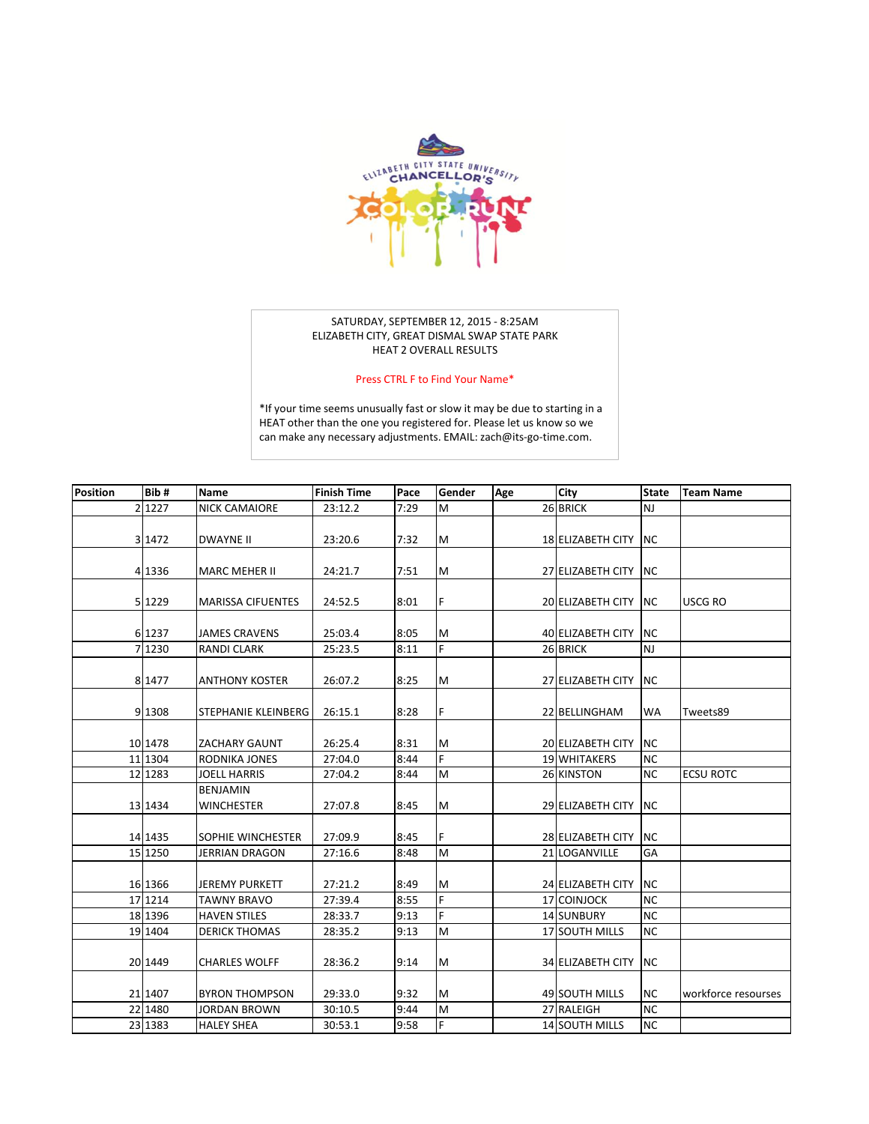

## SATURDAY, SEPTEMBER 12, 2015 - 8:25AM ELIZABETH CITY, GREAT DISMAL SWAP STATE PARK HEAT 2 OVERALL RESULTS

## Press CTRL F to Find Your Name\*

\*If your time seems unusually fast or slow it may be due to starting in a [HEAT other than the one you registered for. Please let us know so we](mailto:zach@its-go-time.com?subject=Chancellors%20Color%20Run%20Time)  can make any necessary adjustments. EMAIL: zach@its-go-time.com.

| <b>Position</b> | Bib#     | Name                     | <b>Finish Time</b> | Pace | Gender | Age | City                     | <b>State</b> | <b>Team Name</b>    |
|-----------------|----------|--------------------------|--------------------|------|--------|-----|--------------------------|--------------|---------------------|
|                 | 2 1227   | <b>NICK CAMAIORE</b>     | 23:12.2            | 7:29 | M      |     | 26 BRICK                 | <b>NJ</b>    |                     |
|                 |          |                          |                    |      |        |     |                          |              |                     |
|                 | 3 1472   | <b>DWAYNE II</b>         | 23:20.6            | 7:32 | M      |     | 18 ELIZABETH CITY        | <b>NC</b>    |                     |
|                 |          |                          |                    |      |        |     |                          |              |                     |
|                 | 4 1336   | <b>MARC MEHER II</b>     | 24:21.7            | 7:51 | M      |     | 27 ELIZABETH CITY        | <b>NC</b>    |                     |
|                 |          |                          |                    |      |        |     |                          |              |                     |
|                 | 5 1229   | <b>MARISSA CIFUENTES</b> | 24:52.5            | 8:01 | F      |     | <b>20 ELIZABETH CITY</b> | <b>NC</b>    | <b>USCG RO</b>      |
|                 |          |                          |                    |      |        |     |                          |              |                     |
|                 | 6 1237   | JAMES CRAVENS            | 25:03.4            | 8:05 | м      |     | 40 ELIZABETH CITY        | <b>NC</b>    |                     |
|                 | 7 1230   | <b>RANDI CLARK</b>       | 25:23.5            | 8:11 | F.     |     | 26 BRICK                 | <b>NJ</b>    |                     |
|                 |          |                          |                    |      |        |     |                          |              |                     |
|                 | 8 1477   | <b>ANTHONY KOSTER</b>    | 26:07.2            | 8:25 | M      |     | 27 ELIZABETH CITY        | <b>NC</b>    |                     |
|                 |          |                          |                    |      |        |     |                          |              |                     |
|                 | 9 1308   | STEPHANIE KLEINBERG      | 26:15.1            | 8:28 | F      |     | 22 BELLINGHAM            | <b>WA</b>    | Tweets89            |
|                 | 10 1478  | <b>ZACHARY GAUNT</b>     | 26:25.4            | 8:31 | M      |     | 20 ELIZABETH CITY        | <b>NC</b>    |                     |
|                 | 11 1304  | RODNIKA JONES            | 27:04.0            | 8:44 | F      |     | <b>19 WHITAKERS</b>      | <b>NC</b>    |                     |
|                 | 12 12 83 | <b>JOELL HARRIS</b>      | 27:04.2            | 8:44 | M      |     | 26 KINSTON               | <b>NC</b>    | <b>ECSU ROTC</b>    |
|                 |          | <b>BENJAMIN</b>          |                    |      |        |     |                          |              |                     |
|                 | 13 1434  | <b>WINCHESTER</b>        | 27:07.8            | 8:45 | M      |     | 29 ELIZABETH CITY        | <b>NC</b>    |                     |
|                 |          |                          |                    |      |        |     |                          |              |                     |
|                 | 14 14 35 | SOPHIE WINCHESTER        | 27:09.9            | 8:45 | F      |     | 28 ELIZABETH CITY        | <b>NC</b>    |                     |
|                 | 15 1250  | <b>JERRIAN DRAGON</b>    | 27:16.6            | 8:48 | M      |     | 21 LOGANVILLE            | GA           |                     |
|                 |          |                          |                    |      |        |     |                          |              |                     |
|                 | 16 1366  | <b>JEREMY PURKETT</b>    | 27:21.2            | 8:49 | M      |     | 24 ELIZABETH CITY        | <b>NC</b>    |                     |
|                 | 17 1214  | <b>TAWNY BRAVO</b>       | 27:39.4            | 8:55 | F      |     | 17 COINJOCK              | <b>NC</b>    |                     |
|                 | 18 1396  | <b>HAVEN STILES</b>      | 28:33.7            | 9:13 | F      |     | 14 SUNBURY               | <b>NC</b>    |                     |
|                 | 19 1404  | <b>DERICK THOMAS</b>     | 28:35.2            | 9:13 | M      |     | 17 SOUTH MILLS           | <b>NC</b>    |                     |
|                 |          |                          |                    |      |        |     |                          |              |                     |
|                 | 20 1449  | <b>CHARLES WOLFF</b>     | 28:36.2            | 9:14 | M      |     | 34 ELIZABETH CITY        | <b>NC</b>    |                     |
|                 |          |                          |                    |      |        |     |                          |              |                     |
|                 | 21 1407  | <b>BYRON THOMPSON</b>    | 29:33.0            | 9:32 | M      |     | 49 SOUTH MILLS           | <b>NC</b>    | workforce resourses |
|                 | 22 1480  | <b>JORDAN BROWN</b>      | 30:10.5            | 9:44 | M      |     | 27 RALEIGH               | <b>NC</b>    |                     |
|                 | 23 1383  | <b>HALEY SHEA</b>        | 30:53.1            | 9:58 | F      |     | 14 SOUTH MILLS           | <b>NC</b>    |                     |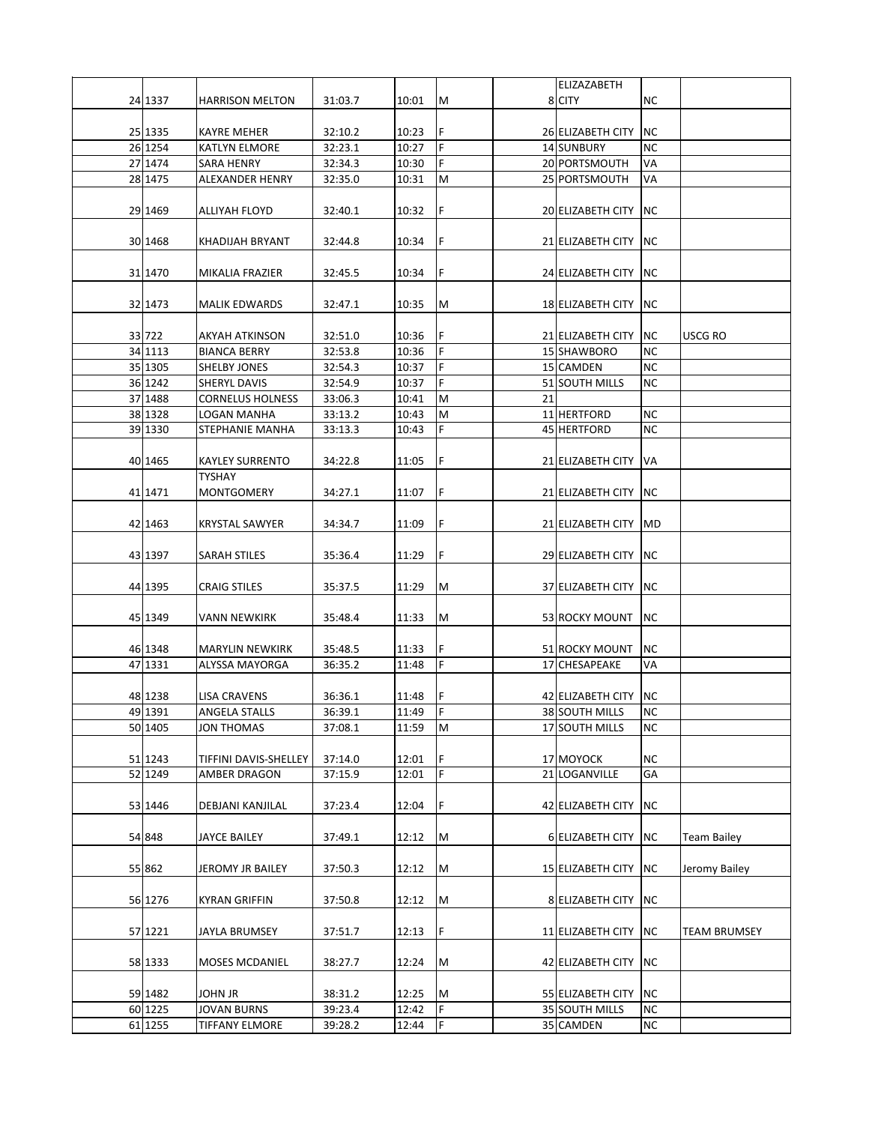|         |                         |         |       |     |    | <b>ELIZAZABETH</b>    |            |                    |
|---------|-------------------------|---------|-------|-----|----|-----------------------|------------|--------------------|
| 24 1337 | <b>HARRISON MELTON</b>  | 31:03.7 | 10:01 | M   |    | 8 CITY                | <b>NC</b>  |                    |
|         |                         |         |       |     |    |                       |            |                    |
| 25 1335 | <b>KAYRE MEHER</b>      | 32:10.2 | 10:23 | F   |    | 26 ELIZABETH CITY     | NC.        |                    |
| 26 1254 | <b>KATLYN ELMORE</b>    | 32:23.1 | 10:27 | F   |    | <b>14 SUNBURY</b>     | <b>NC</b>  |                    |
| 27 1474 | <b>SARA HENRY</b>       | 32:34.3 | 10:30 | F   |    | 20 PORTSMOUTH         | VA         |                    |
| 28 1475 | <b>ALEXANDER HENRY</b>  | 32:35.0 | 10:31 | M   |    | 25 PORTSMOUTH         | VA         |                    |
|         |                         |         |       |     |    |                       |            |                    |
| 29 1469 | ALLIYAH FLOYD           | 32:40.1 | 10:32 | F   |    | 20 ELIZABETH CITY     | NC.        |                    |
|         |                         |         |       |     |    |                       |            |                    |
| 30 1468 | KHADIJAH BRYANT         | 32:44.8 | 10:34 | F   |    | 21 ELIZABETH CITY INC |            |                    |
|         |                         |         |       |     |    |                       |            |                    |
| 31 1470 | MIKALIA FRAZIER         | 32:45.5 | 10:34 | F   |    | 24 ELIZABETH CITY     | <b>NC</b>  |                    |
|         |                         |         |       |     |    |                       |            |                    |
| 32 1473 | <b>MALIK EDWARDS</b>    | 32:47.1 | 10:35 | M   |    | 18 ELIZABETH CITY     | NC.        |                    |
|         |                         |         |       |     |    |                       |            |                    |
| 33 722  | AKYAH ATKINSON          | 32:51.0 | 10:36 | F   |    | 21 ELIZABETH CITY     | <b>NC</b>  | <b>USCG RO</b>     |
| 34 1113 | <b>BIANCA BERRY</b>     | 32:53.8 | 10:36 | F   |    | 15 SHAWBORO           | <b>NC</b>  |                    |
| 35 1305 |                         |         |       | F   |    |                       | <b>NC</b>  |                    |
|         | SHELBY JONES            | 32:54.3 | 10:37 |     |    | 15 CAMDEN             |            |                    |
| 36 1242 | SHERYL DAVIS            | 32:54.9 | 10:37 | F   |    | 51 SOUTH MILLS        | NC         |                    |
| 37 1488 | <b>CORNELUS HOLNESS</b> | 33:06.3 | 10:41 | M   | 21 |                       |            |                    |
| 38 1328 | LOGAN MANHA             | 33:13.2 | 10:43 | M   |    | 11 HERTFORD           | NC.        |                    |
| 39 1330 | STEPHANIE MANHA         | 33:13.3 | 10:43 | F   |    | 45 HERTFORD           | NC         |                    |
|         |                         |         |       |     |    |                       |            |                    |
| 40 1465 | <b>KAYLEY SURRENTO</b>  | 34:22.8 | 11:05 | F   |    | 21 ELIZABETH CITY     | VA         |                    |
|         | <b>TYSHAY</b>           |         |       |     |    |                       |            |                    |
| 41 1471 | <b>MONTGOMERY</b>       | 34:27.1 | 11:07 | F   |    | 21 ELIZABETH CITY     | <b>NC</b>  |                    |
|         |                         |         |       |     |    |                       |            |                    |
| 42 1463 | <b>KRYSTAL SAWYER</b>   | 34:34.7 | 11:09 | F   |    | 21 ELIZABETH CITY     | MD         |                    |
|         |                         |         |       |     |    |                       |            |                    |
| 43 1397 | SARAH STILES            | 35:36.4 | 11:29 | F   |    | 29 ELIZABETH CITY     | NC.        |                    |
|         |                         |         |       |     |    |                       |            |                    |
| 44 1395 | <b>CRAIG STILES</b>     | 35:37.5 | 11:29 | M   |    | 37 ELIZABETH CITY     | <b>INC</b> |                    |
|         |                         |         |       |     |    |                       |            |                    |
| 45 1349 | <b>VANN NEWKIRK</b>     | 35:48.4 | 11:33 | M   |    | 53 ROCKY MOUNT        | <b>NC</b>  |                    |
|         |                         |         |       |     |    |                       |            |                    |
| 46 1348 | <b>MARYLIN NEWKIRK</b>  | 35:48.5 | 11:33 | F   |    | 51 ROCKY MOUNT        | NC.        |                    |
| 47 1331 | <b>ALYSSA MAYORGA</b>   | 36:35.2 | 11:48 | F   |    | 17 CHESAPEAKE         | VA         |                    |
|         |                         |         |       |     |    |                       |            |                    |
| 48 1238 | <b>LISA CRAVENS</b>     | 36:36.1 | 11:48 | F   |    | 42 ELIZABETH CITY INC |            |                    |
| 49 1391 | ANGELA STALLS           | 36:39.1 | 11:49 | l F |    | 38 SOUTH MILLS        | <b>NC</b>  |                    |
| 50 1405 | <b>JON THOMAS</b>       | 37:08.1 | 11:59 | M   |    | 17 SOUTH MILLS        | NC.        |                    |
|         |                         |         |       |     |    |                       |            |                    |
| 51 1243 | TIFFINI DAVIS-SHELLEY   | 37:14.0 | 12:01 | l F |    | 17 MOYOCK             | <b>NC</b>  |                    |
| 52 1249 | AMBER DRAGON            | 37:15.9 | 12:01 | F   |    | 21 LOGANVILLE         | GA         |                    |
|         |                         |         |       |     |    |                       |            |                    |
| 53 1446 | DEBJANI KANJILAL        | 37:23.4 | 12:04 | F   |    | 42 ELIZABETH CITY     | NC.        |                    |
|         |                         |         |       |     |    |                       |            |                    |
| 54 848  | <b>JAYCE BAILEY</b>     | 37:49.1 | 12:12 | M   |    | 6 ELIZABETH CITY      | NC.        | <b>Team Bailey</b> |
|         |                         |         |       |     |    |                       |            |                    |
| 55 862  | JEROMY JR BAILEY        | 37:50.3 | 12:12 | M   |    | 15 ELIZABETH CITY     | NC.        | Jeromy Bailey      |
|         |                         |         |       |     |    |                       |            |                    |
| 56 1276 | <b>KYRAN GRIFFIN</b>    | 37:50.8 | 12:12 | M   |    | 8 ELIZABETH CITY      | NC.        |                    |
|         |                         |         |       |     |    |                       |            |                    |
| 57 1221 | JAYLA BRUMSEY           | 37:51.7 | 12:13 | F   |    | 11 ELIZABETH CITY     | <b>NC</b>  | TEAM BRUMSEY       |
|         |                         |         |       |     |    |                       |            |                    |
| 58 1333 |                         |         |       | M   |    |                       | NC.        |                    |
|         | MOSES MCDANIEL          | 38:27.7 | 12:24 |     |    | 42 ELIZABETH CITY     |            |                    |
|         |                         |         |       |     |    |                       |            |                    |
| 59 1482 | <b>JOHN JR</b>          | 38:31.2 | 12:25 | M   |    | 55 ELIZABETH CITY     | <b>NC</b>  |                    |
| 60 1225 | <b>JOVAN BURNS</b>      | 39:23.4 | 12:42 | F   |    | 35 SOUTH MILLS        | <b>NC</b>  |                    |
| 61 1255 | <b>TIFFANY ELMORE</b>   | 39:28.2 | 12:44 | F   |    | 35 CAMDEN             | $\sf NC$   |                    |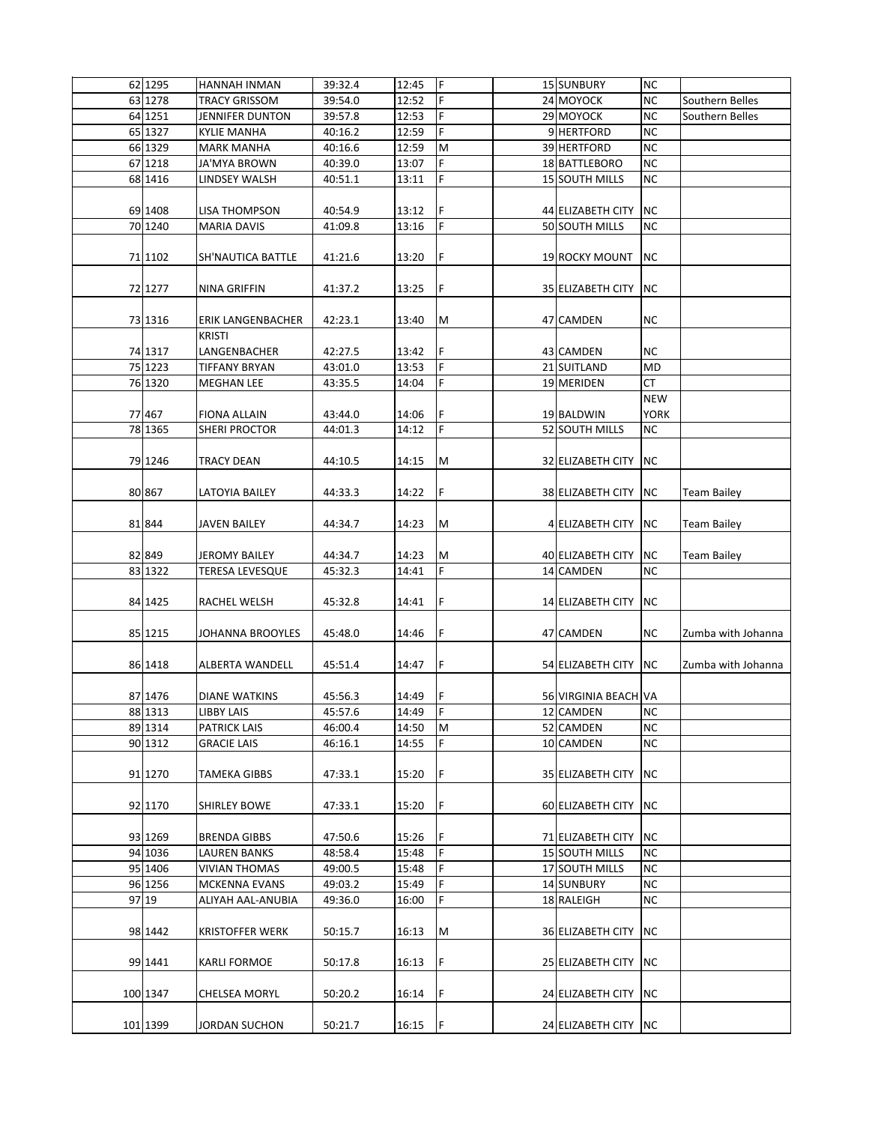| 62 1295  | HANNAH INMAN            | 39:32.4 | 12:45 | IF.        | 15 SUNBURY               | <b>NC</b>   |                    |
|----------|-------------------------|---------|-------|------------|--------------------------|-------------|--------------------|
| 63 1278  | TRACY GRISSOM           | 39:54.0 | 12:52 | F          | 24 MOYOCK                | <b>NC</b>   | Southern Belles    |
| 64 1251  | <b>JENNIFER DUNTON</b>  | 39:57.8 | 12:53 | F          | 29 MOYOCK                | <b>NC</b>   | Southern Belles    |
| 65 1327  | <b>KYLIE MANHA</b>      | 40:16.2 | 12:59 | F          | 9 HERTFORD               | <b>NC</b>   |                    |
| 66 1329  | <b>MARK MANHA</b>       | 40:16.6 | 12:59 | M          | 39 HERTFORD              | <b>NC</b>   |                    |
| 67 1218  | <b>JA'MYA BROWN</b>     | 40:39.0 | 13:07 | F          | 18 BATTLEBORO            | <b>NC</b>   |                    |
| 68 1416  | LINDSEY WALSH           | 40:51.1 | 13:11 | F          | 15 SOUTH MILLS           | <b>NC</b>   |                    |
|          |                         |         |       |            |                          |             |                    |
| 69 1408  |                         |         |       | F          |                          |             |                    |
| 70 1240  | LISA THOMPSON           | 40:54.9 | 13:12 | F          | 44 ELIZABETH CITY        | NC.         |                    |
|          | <b>MARIA DAVIS</b>      | 41:09.8 | 13:16 |            | 50 SOUTH MILLS           | <b>NC</b>   |                    |
| 71 1102  | SH'NAUTICA BATTLE       | 41:21.6 | 13:20 | F          | 19 ROCKY MOUNT           | NC.         |                    |
| 72 1277  | NINA GRIFFIN            | 41:37.2 | 13:25 | F          | 35 ELIZABETH CITY        | NC.         |                    |
| 73 1316  | ERIK LANGENBACHER       | 42:23.1 | 13:40 | M          | 47 CAMDEN                | NC.         |                    |
|          | <b>KRISTI</b>           |         |       |            |                          |             |                    |
| 74 1317  | LANGENBACHER            | 42:27.5 | 13:42 | F          | 43 CAMDEN                | NC.         |                    |
| 75 1223  | <b>TIFFANY BRYAN</b>    | 43:01.0 | 13:53 | F          | 21 SUITLAND              | MD          |                    |
| 76 1320  | MEGHAN LEE              | 43:35.5 | 14:04 | F          | 19 MERIDEN               | СT          |                    |
|          |                         |         |       |            |                          | <b>NEW</b>  |                    |
| 77 467   | <b>FIONA ALLAIN</b>     | 43:44.0 | 14:06 | l F        | 19 BALDWIN               | <b>YORK</b> |                    |
| 78 1365  | <b>SHERI PROCTOR</b>    | 44:01.3 | 14:12 | F          | 52 SOUTH MILLS           | <b>NC</b>   |                    |
|          |                         |         |       |            |                          |             |                    |
| 79 1246  | TRACY DEAN              | 44:10.5 | 14:15 | M          | 32 ELIZABETH CITY        | NC.         |                    |
| 80 867   | LATOYIA BAILEY          | 44:33.3 | 14:22 | F          | 38 ELIZABETH CITY        | NC.         | <b>Team Bailey</b> |
| 81 844   | JAVEN BAILEY            | 44:34.7 | 14:23 | M          | 4 ELIZABETH CITY         | NC.         | <b>Team Bailey</b> |
|          |                         |         |       |            |                          |             |                    |
| 82 849   | <b>JEROMY BAILEY</b>    | 44:34.7 | 14:23 | M          | 40 ELIZABETH CITY        | <b>NC</b>   | Team Bailey        |
| 83 1322  | TERESA LEVESQUE         | 45:32.3 | 14:41 | F          | 14 CAMDEN                | NC          |                    |
|          |                         |         |       |            |                          |             |                    |
| 84 1425  | RACHEL WELSH            | 45:32.8 | 14:41 | F          | 14 ELIZABETH CITY        | <b>NC</b>   |                    |
|          |                         |         |       |            |                          |             |                    |
| 85 1215  | <b>JOHANNA BROOYLES</b> | 45:48.0 | 14:46 | F          | 47 CAMDEN                | NC.         | Zumba with Johanna |
|          |                         |         |       |            |                          |             |                    |
| 86 1418  | <b>ALBERTA WANDELL</b>  | 45:51.4 | 14:47 | F          | 54 ELIZABETH CITY        | NC.         | Zumba with Johanna |
|          |                         |         |       |            |                          |             |                    |
| 87 1476  | <b>DIANE WATKINS</b>    | 45:56.3 | 14:49 | ١F         | 56 VIRGINIA BEACH VA     |             |                    |
| 88 1313  | <b>LIBBY LAIS</b>       | 45:57.6 | 14:49 | $\sqrt{F}$ | 12 CAMDEN                | NC          |                    |
| 89 1314  | <b>PATRICK LAIS</b>     | 46:00.4 | 14:50 | M          | 52 CAMDEN                | <b>NC</b>   |                    |
| 90 1312  | <b>GRACIE LAIS</b>      | 46:16.1 | 14:55 | F          | 10 CAMDEN                | <b>NC</b>   |                    |
| 91 1270  | <b>TAMEKA GIBBS</b>     | 47:33.1 | 15:20 | F          | 35 ELIZABETH CITY        | <b>NC</b>   |                    |
|          |                         |         |       |            |                          |             |                    |
| 92 1170  | <b>SHIRLEY BOWE</b>     | 47:33.1 | 15:20 | F          | 60 ELIZABETH CITY        | <b>NC</b>   |                    |
|          |                         |         |       |            |                          |             |                    |
| 93 1269  | <b>BRENDA GIBBS</b>     | 47:50.6 | 15:26 | F          | 71 ELIZABETH CITY        | NC          |                    |
| 94 1036  | <b>LAUREN BANKS</b>     | 48:58.4 | 15:48 | lF.        | 15 SOUTH MILLS           | NC.         |                    |
| 95 1406  | <b>VIVIAN THOMAS</b>    | 49:00.5 | 15:48 | F          | 17 SOUTH MILLS           | NC          |                    |
| 96 1256  | <b>MCKENNA EVANS</b>    | 49:03.2 | 15:49 | lF.        | 14 SUNBURY               | <b>NC</b>   |                    |
| 97 19    | ALIYAH AAL-ANUBIA       | 49:36.0 | 16:00 | F          | 18 RALEIGH               | <b>NC</b>   |                    |
| 98 1442  | <b>KRISTOFFER WERK</b>  | 50:15.7 | 16:13 | M          | <b>36 ELIZABETH CITY</b> | NC.         |                    |
|          |                         |         |       |            |                          |             |                    |
| 99 1441  | KARLI FORMOE            | 50:17.8 | 16:13 | F          | 25 ELIZABETH CITY        | NC.         |                    |
|          |                         |         |       |            |                          |             |                    |
| 100 1347 | <b>CHELSEA MORYL</b>    | 50:20.2 | 16:14 | İF.        | 24 ELIZABETH CITY        | <b>NC</b>   |                    |
| 101 1399 | <b>JORDAN SUCHON</b>    | 50:21.7 | 16:15 | IF.        | 24 ELIZABETH CITY        | <b>NC</b>   |                    |